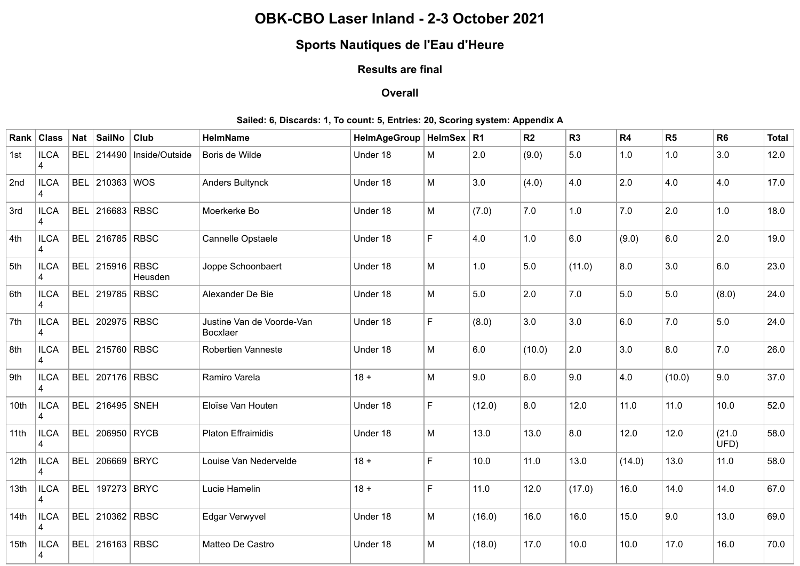## **OBK-CBO Laser Inland - 2-3 October 2021**

# **Sports Nautiques de l'Eau d'Heure**

### **Results are final**

#### **Overall**

#### **Sailed: 6, Discards: 1, To count: 5, Entries: 20, Scoring system: Appendix A**

| Rank             | <b>Class</b>                            | Nat        | <b>SailNo</b>          | <b>Club</b>    | <b>HelmName</b>                       | HelmAgeGroup   HelmSex   R1 |             |        | R2     | R <sub>3</sub> | R4     | R <sub>5</sub> | R <sub>6</sub> | <b>Total</b> |
|------------------|-----------------------------------------|------------|------------------------|----------------|---------------------------------------|-----------------------------|-------------|--------|--------|----------------|--------|----------------|----------------|--------------|
| 1st              | <b>ILCA</b><br>$\overline{\mathcal{A}}$ | <b>BEL</b> | 214490                 | Inside/Outside | Boris de Wilde                        | Under 18                    | M           | 2.0    | (9.0)  | $5.0\,$        | 1.0    | 1.0            | 3.0            | 12.0         |
| 2nd              | <b>ILCA</b><br>4                        |            | BEL 210363 WOS         |                | <b>Anders Bultynck</b>                | Under 18                    | M           | 3.0    | (4.0)  | 4.0            | 2.0    | 4.0            | 4.0            | 17.0         |
| 3rd              | <b>ILCA</b><br>4                        |            | BEL 216683 RBSC        |                | Moerkerke Bo                          | Under 18                    | M           | (7.0)  | 7.0    | 1.0            | 7.0    | 2.0            | 1.0            | 18.0         |
| 4th              | <b>ILCA</b><br>4                        |            | BEL 216785 RBSC        |                | Cannelle Opstaele                     | Under 18                    | $\mathsf F$ | 4.0    | 1.0    | $6.0\,$        | (9.0)  | 6.0            | 2.0            | 19.0         |
| 5th              | <b>ILCA</b><br>$\overline{\mathbf{4}}$  |            | <b>BEL 215916 RBSC</b> | Heusden        | Joppe Schoonbaert                     | Under 18                    | M           | 1.0    | 5.0    | (11.0)         | 8.0    | 3.0            | 6.0            | 23.0         |
| 6th              | <b>ILCA</b><br>4                        | <b>BEL</b> | 219785 RBSC            |                | Alexander De Bie                      | Under 18                    | M           | 5.0    | 2.0    | $7.0$          | 5.0    | 5.0            | (8.0)          | 24.0         |
| 7th              | <b>ILCA</b><br>4                        | <b>BEL</b> | 202975 RBSC            |                | Justine Van de Voorde-Van<br>Bocxlaer | Under 18                    | $\mathsf F$ | (8.0)  | 3.0    | 3.0            | 6.0    | 7.0            | 5.0            | 24.0         |
| 8th              | <b>ILCA</b><br>4                        | <b>BEL</b> | 215760 RBSC            |                | <b>Robertien Vanneste</b>             | Under 18                    | M           | 6.0    | (10.0) | 2.0            | 3.0    | 8.0            | 7.0            | 26.0         |
| 9th              | <b>ILCA</b><br>4                        |            | BEL 207176 RBSC        |                | Ramiro Varela                         | $18 +$                      | M           | 9.0    | 6.0    | 9.0            | 4.0    | (10.0)         | 9.0            | 37.0         |
| 10th             | <b>ILCA</b><br>4                        |            | <b>BEL 216495 SNEH</b> |                | Eloïse Van Houten                     | Under 18                    | $\mathsf F$ | (12.0) | 8.0    | 12.0           | 11.0   | 11.0           | 10.0           | 52.0         |
| 11th             | <b>ILCA</b><br>$\Delta$                 | <b>BEL</b> | 206950 RYCB            |                | <b>Platon Effraimidis</b>             | Under 18                    | M           | 13.0   | 13.0   | 8.0            | 12.0   | 12.0           | (21.0)<br>UFD) | 58.0         |
| 12 <sub>th</sub> | <b>ILCA</b><br>4                        | <b>BEL</b> | 206669 BRYC            |                | Louise Van Nedervelde                 | $18 +$                      | F           | 10.0   | $11.0$ | 13.0           | (14.0) | 13.0           | 11.0           | 58.0         |
| 13th             | <b>ILCA</b><br>4                        | <b>BEL</b> | 197273 BRYC            |                | Lucie Hamelin                         | $18 +$                      | F           | 11.0   | 12.0   | (17.0)         | 16.0   | 14.0           | 14.0           | 67.0         |
| 14 <sup>th</sup> | <b>ILCA</b><br>4                        |            | <b>BEL 210362 RBSC</b> |                | Edgar Verwyvel                        | Under 18                    | M           | (16.0) | 16.0   | 16.0           | 15.0   | 9.0            | 13.0           | 69.0         |
| 15 <sub>th</sub> | <b>ILCA</b><br>4                        |            | <b>BEL 216163 RBSC</b> |                | Matteo De Castro                      | Under 18                    | M           | (18.0) | 17.0   | 10.0           | 10.0   | 17.0           | 16.0           | 70.0         |